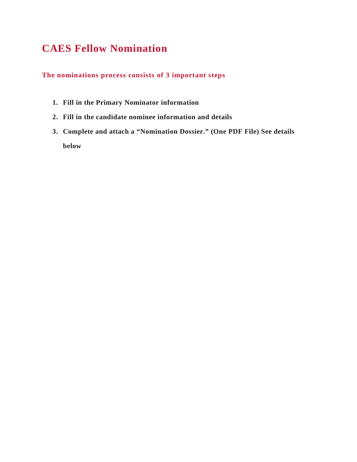### **CAES Fellow Nomination**

**The nominations process consists of 3 important steps**

- **1. Fill in the Primary Nominator information**
- **2. Fill in the candidate nominee information and details**
- **3. Complete and attach a "Nomination Dossier." (One PDF File) See details below**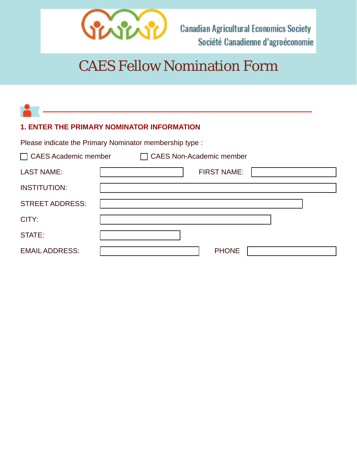

# CAES Fellow Nomination Form

| <b>1. ENTER THE PRIMARY NOMINATOR INFORMATION</b> |                                                         |  |
|---------------------------------------------------|---------------------------------------------------------|--|
|                                                   | Please indicate the Primary Nominator membership type : |  |
| $\Box$ CAES Academic member                       | $\Box$ CAES Non-Academic member                         |  |
| <b>LAST NAME:</b>                                 | <b>FIRST NAME:</b>                                      |  |
| <b>INSTITUTION:</b>                               |                                                         |  |
| <b>STREET ADDRESS:</b>                            |                                                         |  |
| CITY:                                             |                                                         |  |
| STATE:                                            |                                                         |  |
| <b>EMAIL ADDRESS:</b>                             | <b>PHONE</b>                                            |  |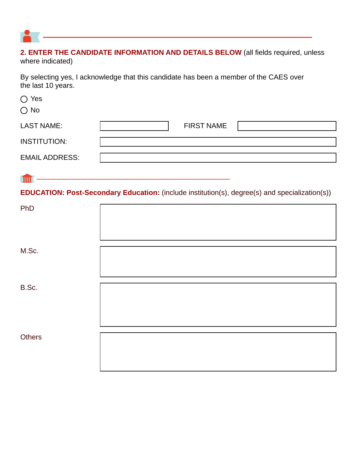

## **2. ENTER THE CANDIDATE INFORMATION AND DETAILS BELOW** (all fields required, unless

where indicated)

By selecting yes, I acknowledge that this candidate has been a member of the CAES over the last 10 years.

| $\bigcirc$ Yes<br>$\bigcirc$ No |                                                                                                |
|---------------------------------|------------------------------------------------------------------------------------------------|
| <b>LAST NAME:</b>               | <b>FIRST NAME</b>                                                                              |
| <b>INSTITUTION:</b>             |                                                                                                |
| <b>EMAIL ADDRESS:</b>           |                                                                                                |
| $\mathbf{m}$                    | EDUCATION: Post-Secondary Education: (include institution(s), degree(s) and specialization(s)) |
| PhD                             |                                                                                                |
|                                 |                                                                                                |
|                                 |                                                                                                |
| M.Sc.                           |                                                                                                |
|                                 |                                                                                                |
| B.Sc.                           |                                                                                                |
|                                 |                                                                                                |
|                                 |                                                                                                |
| <b>Others</b>                   |                                                                                                |
|                                 |                                                                                                |
|                                 |                                                                                                |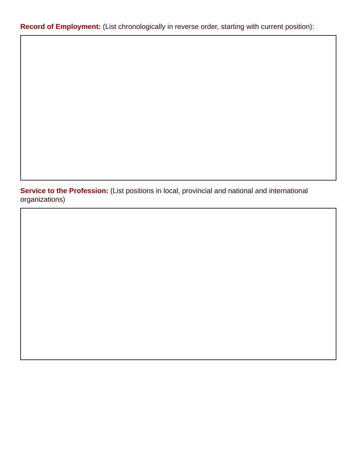**Record of Employment:** (List chronologically in reverse order, starting with current position):

**Service to the Profession:** (List positions in local, provincial and national and international organizations)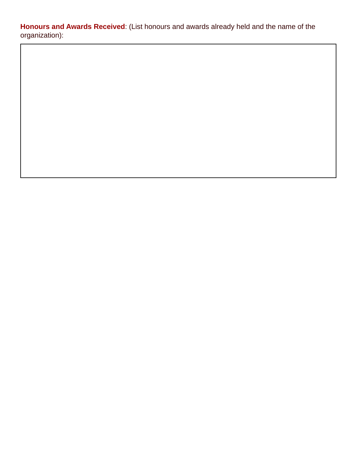**Honours and Awards Received**: (List honours and awards already held and the name of the organization):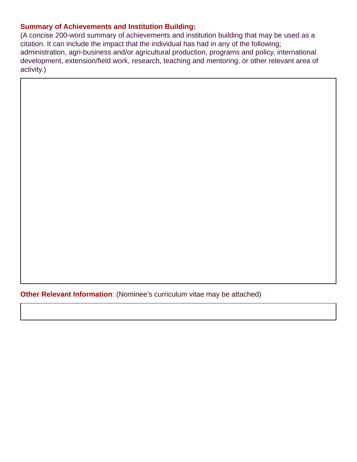### **Summary of Achievements and Institution Building:**

(A concise 200-word summary of achievements and institution building that may be used as a citation. It can include the impact that the individual has had in any of the following; administration, agri-business and/or agricultural production, programs and policy, international development, extension/field work, research, teaching and mentoring, or other relevant area of activity.)

**Other Relevant Information:** (Nominee's curriculum vitae may be attached)